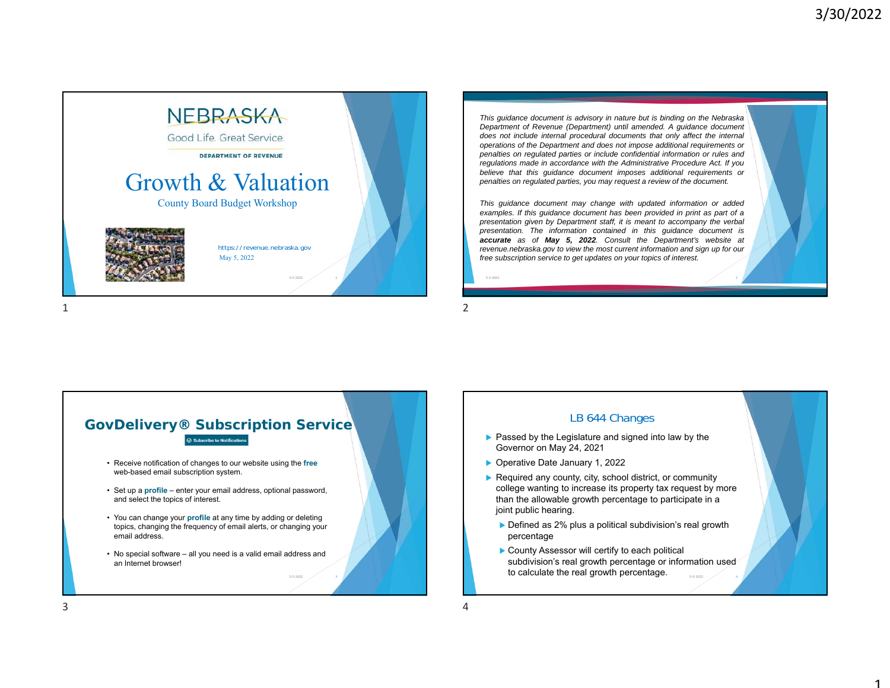1



This guidance document is advisory in nature but is binding on the Nebraska *Department of Revenue (Department) until amended. A guidance document does not include internal procedural documents that only affect the internal operations of the Department and does not impose additional requirements or* penalties on regulated parties or include confidential information or rules and *regulations made in accordance with the Administrative Procedure Act. If you believe that this guidance document imposes additional requirements or* penalties on regulated parties, you may request a review of the document.

*This guidance document may change with updated information or added* examples. If this guidance document has been provided in print as part of a presentation given by Department staff, it is meant to accompany the verbal *presentation. The information contained in this guidance document is accurate as of May 5, 2022. Consult the Department's website at* revenue.nebraska.gov to view the most current information and sign up for our *free subscription service to get updates on your topics of interest.*

2 and 2 and 2 and 2 and 2 and 2 and 2 and 2 and 2 and 2 and 2 and 2 and 2 and 2 and 2 and 2 and 2 and 2 and 2

5-5-2022



- $\blacktriangleright$  Passed by the Legislature and signed into law by the Governor on May 24, 2021
- ▶ Operative Date January 1, 2022
- ▶ Required any county, city, school district, or community college wanting to increase its property tax request by more than the allowable growth percentage to participate in a joint public hearing.
	- ▶ Defined as 2% plus a political subdivision's real growth percentage
	- ▶ County Assessor will certify to each political subdivision's real growth percentage or information used to calculate the real growth percentage. 4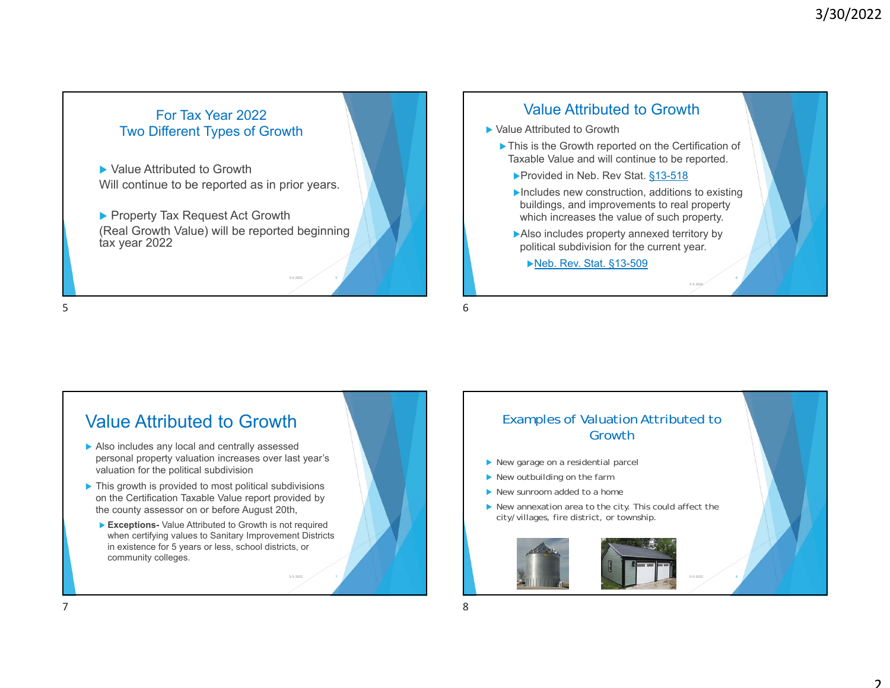



- Also includes any local and centrally assessed personal property valuation increases over last year's valuation for the political subdivision
- ▶ This growth is provided to most political subdivisions on the Certification Taxable Value report provided by the county assessor on or before August 20th,
	- **Exceptions-** Value Attributed to Growth is not required when certifying values to Sanitary Improvement Districts in existence for 5 years or less, school districts, or community colleges.

2 / 7

# Examples of Valuation Attributed to Growth▶ New garage on a residential parcel ▶ New outbuilding on the farm

- ▶ New sunroom added to a home
- ▶ New annexation area to the city. This could affect the city/villages, fire district, or township.

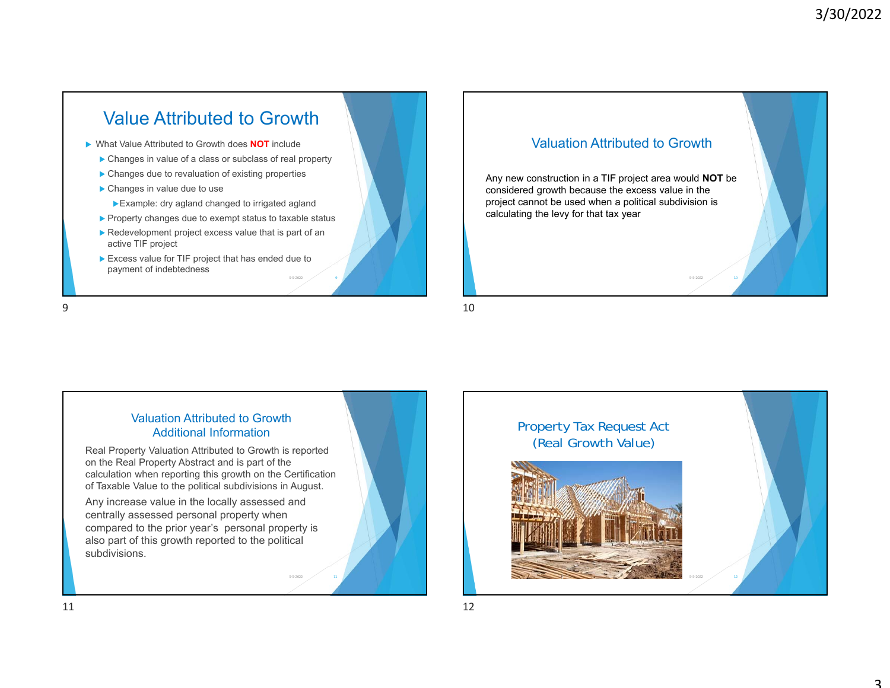# Value Attributed to Growth

- ▶ What Value Attributed to Growth does **NOT** include
	- ▶ Changes in value of a class or subclass of real property
	- ▶ Changes due to revaluation of existing properties
	- ▶ Changes in value due to use
		- Example: dry agland changed to irrigated agland
	- ▶ Property changes due to exempt status to taxable status

9

- ▶ Redevelopment project excess value that is part of an active TIF project
- ▶ Excess value for TIF project that has ended due to payment of indebtedness

9

# Valuation Attributed to GrowthAny new construction in a TIF project area would **NOT** be considered growth because the excess value in the project cannot be used when a political subdivision is calculating the levy for that tax year 2  $\sim$  10

 $9 \hspace{2.5cm} 10$ 

### Valuation Attributed to Growth Additional InformationReal Property Valuation Attributed to Growth is reported

on the Real Property Abstract and is part of the calculation when reporting this growth on the Certification of Taxable Value to the political subdivisions in August.

Any increase value in the locally assessed and centrally assessed personal property when compared to the prior year's personal property is also part of this growth reported to the political subdivisions.

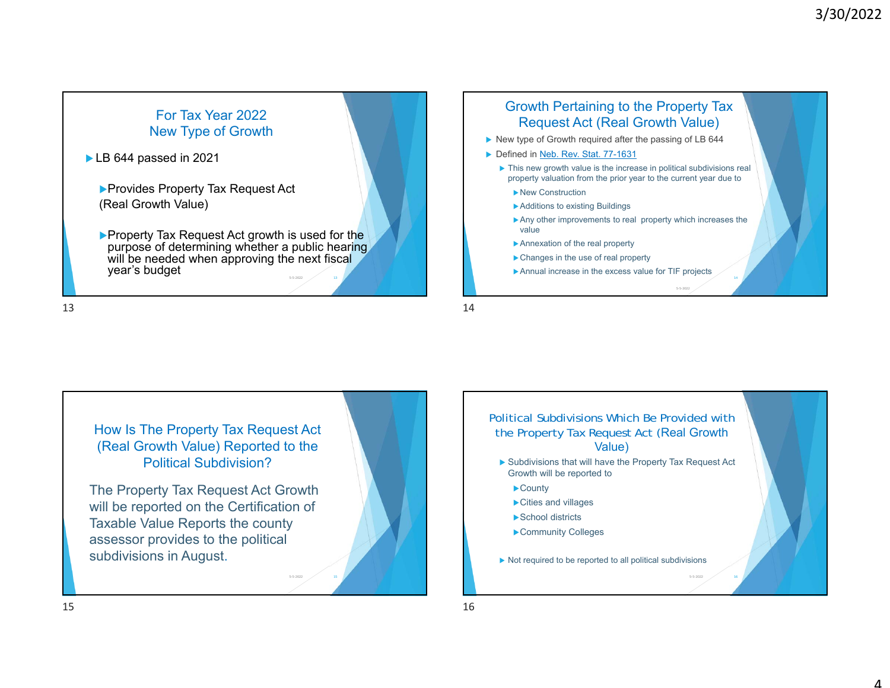

 $\blacktriangleright$ Property Tax Request Act growth is used for the purpose of determining whether a public hearing. will be needed when approving the next fiscal year's budget 2  $\hspace{.15cm}$  13





 $\frac{14}{14}$ 

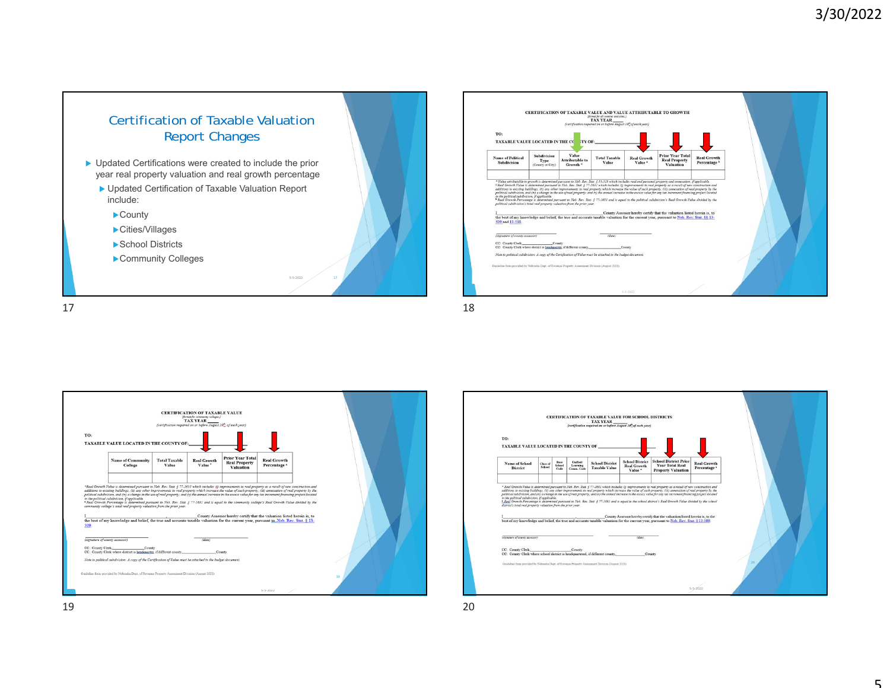





19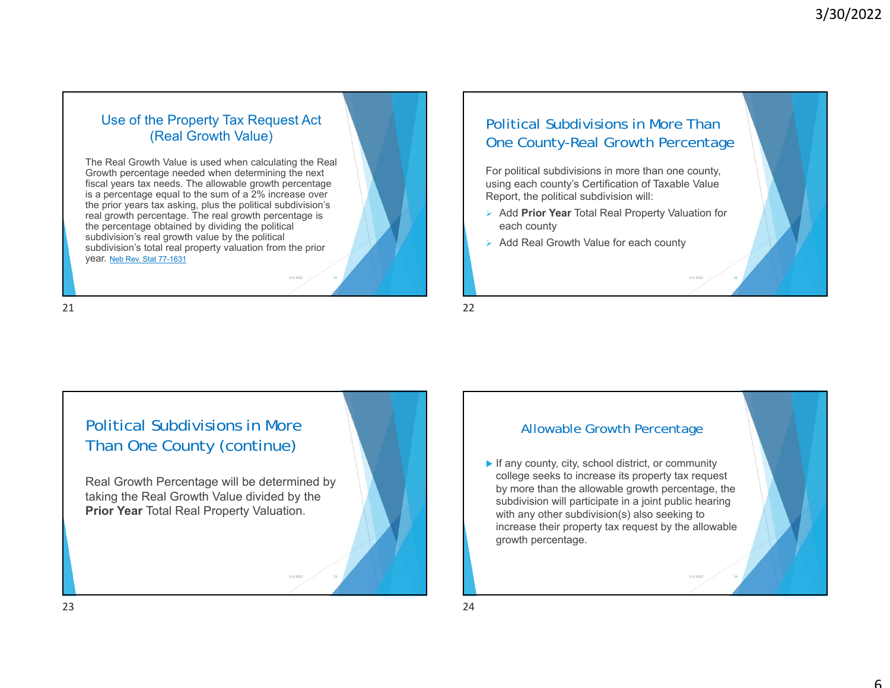#### Use of the Property Tax Request Act (Real Growth Value)

The Real Growth Value is used when calculating the Real Growth percentage needed when determining the next fiscal years tax needs. The allowable growth percentage is a percentage equal to the sum of a 2% increase over the prior years tax asking, plus the political subdivision's real growth percentage. The real growth percentage is the percentage obtained by dividing the political subdivision's real growth value by the political subdivision's total real property valuation from the prior year. Neb Rev. Stat 77-1631

# Political Subdivisions in More Than One County-Real Growth Percentage

For political subdivisions in more than one county, using each county's Certification of Taxable Value Report, the political subdivision will:

 Add **Prior Year** Total Real Property Valuation for each county

22

2  $\sim$  24

▶ Add Real Growth Value for each county

21 $1 \hspace{2.5cm}$ 



2  $\hspace{0.1cm}$  21

#### Allowable Growth Percentage

If any county, city, school district, or community college seeks to increase its property tax request by more than the allowable growth percentage, the subdivision will participate in a joint public hearing with any other subdivision(s) also seeking to increase their property tax request by the allowable growth percentage.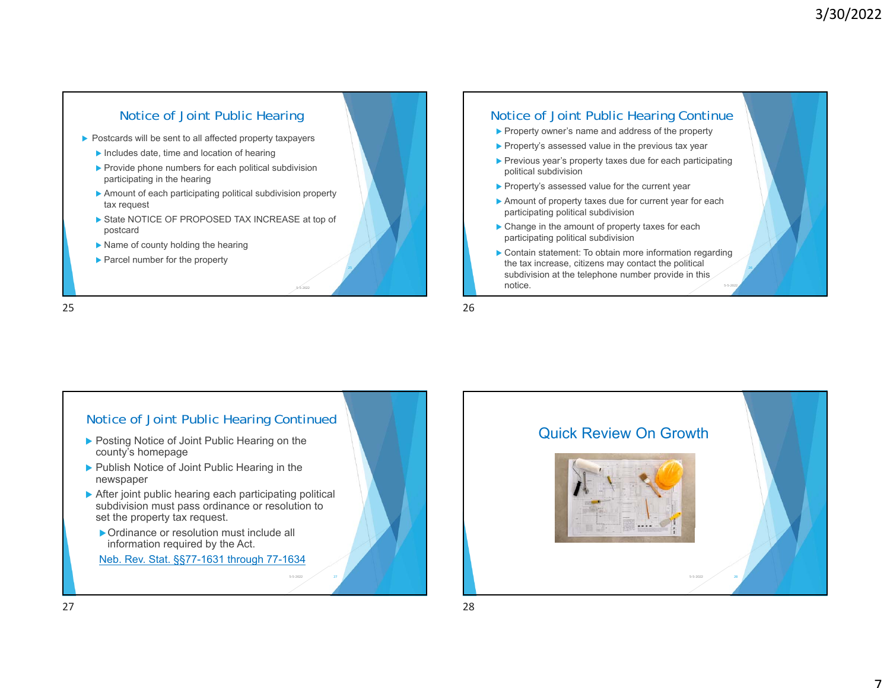

#### Notice of Joint Public Hearing Continue

- **Property owner's name and address of the property**
- $\blacktriangleright$  Property's assessed value in the previous tax year
- ▶ Previous year's property taxes due for each participating political subdivision
- **Property's assessed value for the current year**
- Amount of property taxes due for current year for each participating political subdivision
- ▶ Change in the amount of property taxes for each participating political subdivision
- ▶ Contain statement: To obtain more information regarding the tax increase, citizens may contact the political subdivision at the telephone number provide in this notice.5-5-2022

25